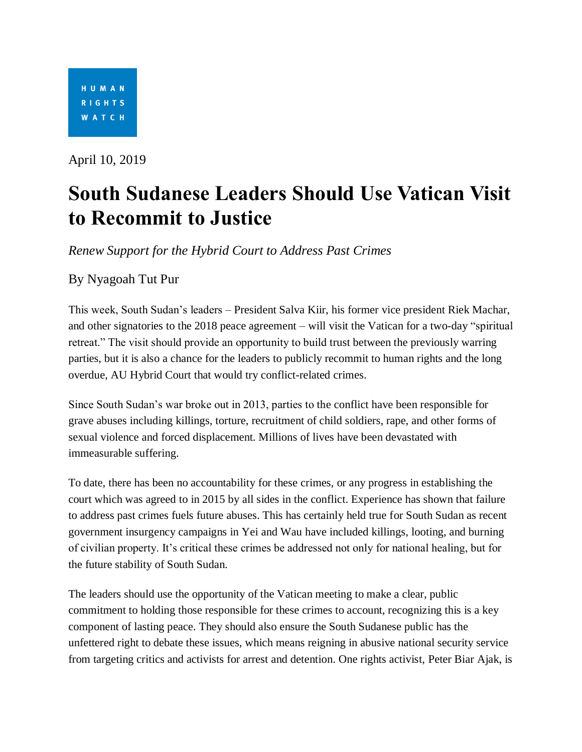

April 10, 2019

## **South Sudanese Leaders Should Use Vatican Visit to Recommit to Justice**

*Renew Support for the Hybrid Court to Address Past Crimes*

By Nyagoah Tut Pur

This week, South Sudan's leaders – President Salva Kiir, his former vice president Riek Machar, and other signatories to the 2018 peace agreement – will visit the Vatican for a two-day "spiritual retreat." The visit should provide an opportunity to build trust between the previously warring parties, but it is also a chance for the leaders to publicly recommit to human rights and the long overdue, AU Hybrid Court that would try conflict-related crimes.

Since South Sudan's war broke out in 2013, parties to the conflict have been responsible for grave abuses including killings, torture, recruitment of child soldiers, rape, and other forms of sexual violence and forced displacement. Millions of lives have been devastated with immeasurable suffering.

To date, there has been no accountability for these crimes, or any progress in establishing the court which was agreed to in 2015 by all sides in the conflict. Experience has shown that failure to address past crimes fuels future abuses. This has certainly held true for South Sudan as recent government insurgency campaigns in Yei and Wau have included killings, looting, and burning of civilian property. It's critical these crimes be addressed not only for national healing, but for the future stability of South Sudan.

The leaders should use the opportunity of the Vatican meeting to make a clear, public commitment to holding those responsible for these crimes to account, recognizing this is a key component of lasting peace. They should also ensure the South Sudanese public has the unfettered right to debate these issues, which means reigning in abusive national security service from targeting critics and activists for arrest and detention. One rights activist, Peter Biar Ajak, is